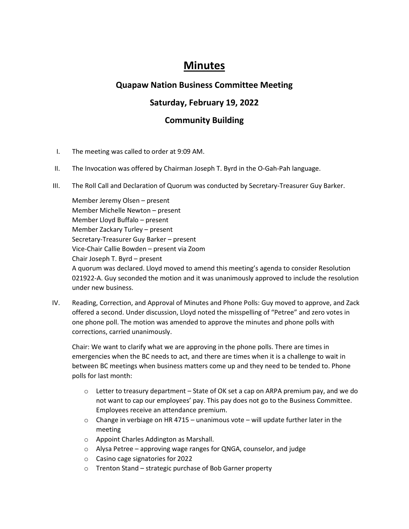# **Minutes**

## **Quapaw Nation Business Committee Meeting**

# **Saturday, February 19, 2022**

# **Community Building**

- I. The meeting was called to order at 9:09 AM.
- II. The Invocation was offered by Chairman Joseph T. Byrd in the O-Gah-Pah language.
- III. The Roll Call and Declaration of Quorum was conducted by Secretary-Treasurer Guy Barker.

Member Jeremy Olsen – present Member Michelle Newton – present Member Lloyd Buffalo – present Member Zackary Turley – present Secretary-Treasurer Guy Barker – present Vice-Chair Callie Bowden – present via Zoom Chair Joseph T. Byrd – present A quorum was declared. Lloyd moved to amend this meeting's agenda to consider Resolution 021922-A. Guy seconded the motion and it was unanimously approved to include the resolution under new business.

IV. Reading, Correction, and Approval of Minutes and Phone Polls: Guy moved to approve, and Zack offered a second. Under discussion, Lloyd noted the misspelling of "Petree" and zero votes in one phone poll. The motion was amended to approve the minutes and phone polls with corrections, carried unanimously.

Chair: We want to clarify what we are approving in the phone polls. There are times in emergencies when the BC needs to act, and there are times when it is a challenge to wait in between BC meetings when business matters come up and they need to be tended to. Phone polls for last month:

- $\circ$  Letter to treasury department State of OK set a cap on ARPA premium pay, and we do not want to cap our employees' pay. This pay does not go to the Business Committee. Employees receive an attendance premium.
- $\circ$  Change in verbiage on HR 4715 unanimous vote will update further later in the meeting
- o Appoint Charles Addington as Marshall.
- o Alysa Petree approving wage ranges for QNGA, counselor, and judge
- o Casino cage signatories for 2022
- o Trenton Stand strategic purchase of Bob Garner property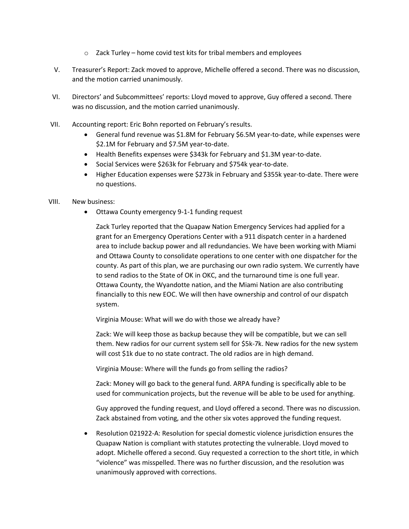- $\circ$  Zack Turley home covid test kits for tribal members and employees
- V. Treasurer's Report: Zack moved to approve, Michelle offered a second. There was no discussion, and the motion carried unanimously.
- VI. Directors' and Subcommittees' reports: Lloyd moved to approve, Guy offered a second. There was no discussion, and the motion carried unanimously.
- VII. Accounting report: Eric Bohn reported on February's results.
	- General fund revenue was \$1.8M for February \$6.5M year-to-date, while expenses were \$2.1M for February and \$7.5M year-to-date.
	- Health Benefits expenses were \$343k for February and \$1.3M year-to-date.
	- Social Services were \$263k for February and \$754k year-to-date.
	- Higher Education expenses were \$273k in February and \$355k year-to-date. There were no questions.

### VIII. New business:

• Ottawa County emergency 9-1-1 funding request

Zack Turley reported that the Quapaw Nation Emergency Services had applied for a grant for an Emergency Operations Center with a 911 dispatch center in a hardened area to include backup power and all redundancies. We have been working with Miami and Ottawa County to consolidate operations to one center with one dispatcher for the county. As part of this plan, we are purchasing our own radio system. We currently have to send radios to the State of OK in OKC, and the turnaround time is one full year. Ottawa County, the Wyandotte nation, and the Miami Nation are also contributing financially to this new EOC. We will then have ownership and control of our dispatch system.

Virginia Mouse: What will we do with those we already have?

Zack: We will keep those as backup because they will be compatible, but we can sell them. New radios for our current system sell for \$5k-7k. New radios for the new system will cost \$1k due to no state contract. The old radios are in high demand.

Virginia Mouse: Where will the funds go from selling the radios?

Zack: Money will go back to the general fund. ARPA funding is specifically able to be used for communication projects, but the revenue will be able to be used for anything.

Guy approved the funding request, and Lloyd offered a second. There was no discussion. Zack abstained from voting, and the other six votes approved the funding request.

• Resolution 021922-A: Resolution for special domestic violence jurisdiction ensures the Quapaw Nation is compliant with statutes protecting the vulnerable. Lloyd moved to adopt. Michelle offered a second. Guy requested a correction to the short title, in which "violence" was misspelled. There was no further discussion, and the resolution was unanimously approved with corrections.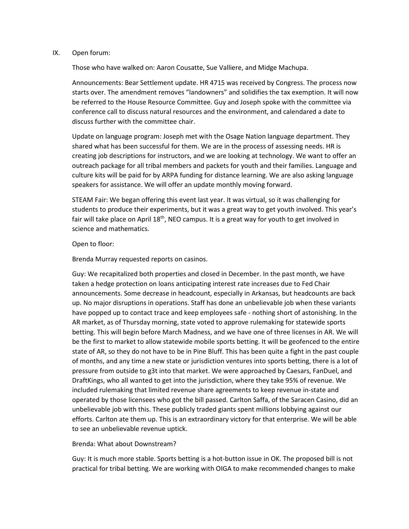#### IX. Open forum:

Those who have walked on: Aaron Cousatte, Sue Valliere, and Midge Machupa.

Announcements: Bear Settlement update. HR 4715 was received by Congress. The process now starts over. The amendment removes "landowners" and solidifies the tax exemption. It will now be referred to the House Resource Committee. Guy and Joseph spoke with the committee via conference call to discuss natural resources and the environment, and calendared a date to discuss further with the committee chair.

Update on language program: Joseph met with the Osage Nation language department. They shared what has been successful for them. We are in the process of assessing needs. HR is creating job descriptions for instructors, and we are looking at technology. We want to offer an outreach package for all tribal members and packets for youth and their families. Language and culture kits will be paid for by ARPA funding for distance learning. We are also asking language speakers for assistance. We will offer an update monthly moving forward.

STEAM Fair: We began offering this event last year. It was virtual, so it was challenging for students to produce their experiments, but it was a great way to get youth involved. This year's fair will take place on April 18<sup>th</sup>, NEO campus. It is a great way for youth to get involved in science and mathematics.

### Open to floor:

Brenda Murray requested reports on casinos.

Guy: We recapitalized both properties and closed in December. In the past month, we have taken a hedge protection on loans anticipating interest rate increases due to Fed Chair announcements. Some decrease in headcount, especially in Arkansas, but headcounts are back up. No major disruptions in operations. Staff has done an unbelievable job when these variants have popped up to contact trace and keep employees safe - nothing short of astonishing. In the AR market, as of Thursday morning, state voted to approve rulemaking for statewide sports betting. This will begin before March Madness, and we have one of three licenses in AR. We will be the first to market to allow statewide mobile sports betting. It will be geofenced to the entire state of AR, so they do not have to be in Pine Bluff. This has been quite a fight in the past couple of months, and any time a new state or jurisdiction ventures into sports betting, there is a lot of pressure from outside to g3t into that market. We were approached by Caesars, FanDuel, and DraftKings, who all wanted to get into the jurisdiction, where they take 95% of revenue. We included rulemaking that limited revenue share agreements to keep revenue in-state and operated by those licensees who got the bill passed. Carlton Saffa, of the Saracen Casino, did an unbelievable job with this. These publicly traded giants spent millions lobbying against our efforts. Carlton ate them up. This is an extraordinary victory for that enterprise. We will be able to see an unbelievable revenue uptick.

#### Brenda: What about Downstream?

Guy: It is much more stable. Sports betting is a hot-button issue in OK. The proposed bill is not practical for tribal betting. We are working with OIGA to make recommended changes to make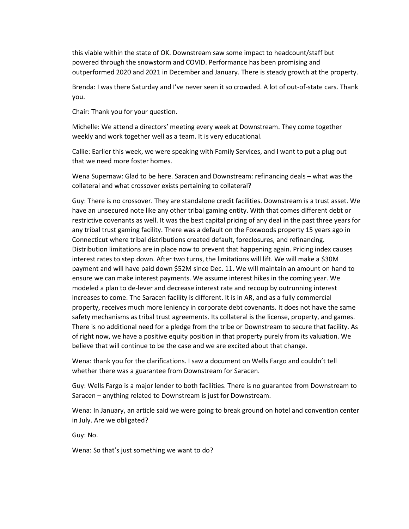this viable within the state of OK. Downstream saw some impact to headcount/staff but powered through the snowstorm and COVID. Performance has been promising and outperformed 2020 and 2021 in December and January. There is steady growth at the property.

Brenda: I was there Saturday and I've never seen it so crowded. A lot of out-of-state cars. Thank you.

Chair: Thank you for your question.

Michelle: We attend a directors' meeting every week at Downstream. They come together weekly and work together well as a team. It is very educational.

Callie: Earlier this week, we were speaking with Family Services, and I want to put a plug out that we need more foster homes.

Wena Supernaw: Glad to be here. Saracen and Downstream: refinancing deals – what was the collateral and what crossover exists pertaining to collateral?

Guy: There is no crossover. They are standalone credit facilities. Downstream is a trust asset. We have an unsecured note like any other tribal gaming entity. With that comes different debt or restrictive covenants as well. It was the best capital pricing of any deal in the past three years for any tribal trust gaming facility. There was a default on the Foxwoods property 15 years ago in Connecticut where tribal distributions created default, foreclosures, and refinancing. Distribution limitations are in place now to prevent that happening again. Pricing index causes interest rates to step down. After two turns, the limitations will lift. We will make a \$30M payment and will have paid down \$52M since Dec. 11. We will maintain an amount on hand to ensure we can make interest payments. We assume interest hikes in the coming year. We modeled a plan to de-lever and decrease interest rate and recoup by outrunning interest increases to come. The Saracen facility is different. It is in AR, and as a fully commercial property, receives much more leniency in corporate debt covenants. It does not have the same safety mechanisms as tribal trust agreements. Its collateral is the license, property, and games. There is no additional need for a pledge from the tribe or Downstream to secure that facility. As of right now, we have a positive equity position in that property purely from its valuation. We believe that will continue to be the case and we are excited about that change.

Wena: thank you for the clarifications. I saw a document on Wells Fargo and couldn't tell whether there was a guarantee from Downstream for Saracen.

Guy: Wells Fargo is a major lender to both facilities. There is no guarantee from Downstream to Saracen – anything related to Downstream is just for Downstream.

Wena: In January, an article said we were going to break ground on hotel and convention center in July. Are we obligated?

Guy: No.

Wena: So that's just something we want to do?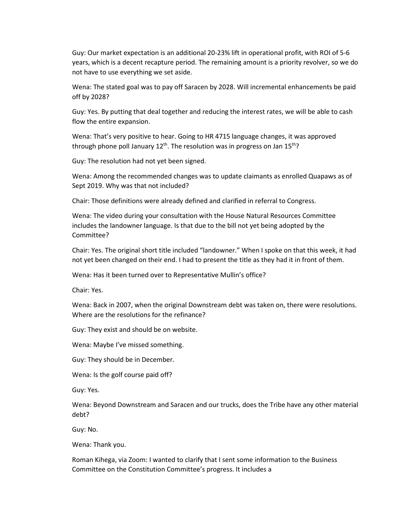Guy: Our market expectation is an additional 20-23% lift in operational profit, with ROI of 5-6 years, which is a decent recapture period. The remaining amount is a priority revolver, so we do not have to use everything we set aside.

Wena: The stated goal was to pay off Saracen by 2028. Will incremental enhancements be paid off by 2028?

Guy: Yes. By putting that deal together and reducing the interest rates, we will be able to cash flow the entire expansion.

Wena: That's very positive to hear. Going to HR 4715 language changes, it was approved through phone poll January  $12<sup>th</sup>$ . The resolution was in progress on Jan  $15<sup>th</sup>$ ?

Guy: The resolution had not yet been signed.

Wena: Among the recommended changes was to update claimants as enrolled Quapaws as of Sept 2019. Why was that not included?

Chair: Those definitions were already defined and clarified in referral to Congress.

Wena: The video during your consultation with the House Natural Resources Committee includes the landowner language. Is that due to the bill not yet being adopted by the Committee?

Chair: Yes. The original short title included "landowner." When I spoke on that this week, it had not yet been changed on their end. I had to present the title as they had it in front of them.

Wena: Has it been turned over to Representative Mullin's office?

Chair: Yes.

Wena: Back in 2007, when the original Downstream debt was taken on, there were resolutions. Where are the resolutions for the refinance?

Guy: They exist and should be on website.

Wena: Maybe I've missed something.

Guy: They should be in December.

Wena: Is the golf course paid off?

Guy: Yes.

Wena: Beyond Downstream and Saracen and our trucks, does the Tribe have any other material debt?

Guy: No.

Wena: Thank you.

Roman Kihega, via Zoom: I wanted to clarify that I sent some information to the Business Committee on the Constitution Committee's progress. It includes a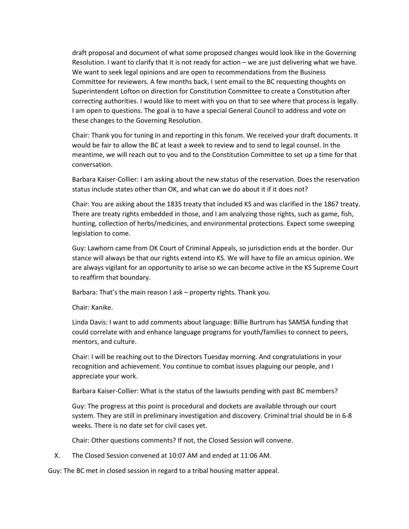draft proposal and document of what some proposed changes would look like in the Governing Resolution. I want to clarify that it is not ready for action – we are just delivering what we have. We want to seek legal opinions and are open to recommendations from the Business Committee for reviewers. A few months back, I sent email to the BC requesting thoughts on Superintendent Lofton on direction for Constitution Committee to create a Constitution after correcting authorities. I would like to meet with you on that to see where that process is legally. I am open to questions. The goal is to have a special General Council to address and vote on these changes to the Governing Resolution.

Chair: Thank you for tuning in and reporting in this forum. We received your draft documents. It would be fair to allow the BC at least a week to review and to send to legal counsel. In the meantime, we will reach out to you and to the Constitution Committee to set up a time for that conversation.

Barbara Kaiser-Collier: I am asking about the new status of the reservation. Does the reservation status include states other than OK, and what can we do about it if it does not?

Chair: You are asking about the 1835 treaty that included KS and was clarified in the 1867 treaty. There are treaty rights embedded in those, and I am analyzing those rights, such as game, fish, hunting, collection of herbs/medicines, and environmental protections. Expect some sweeping legislation to come.

Guy: Lawhorn came from OK Court of Criminal Appeals, so jurisdiction ends at the border. Our stance will always be that our rights extend into KS. We will have to file an amicus opinion. We are always vigilant for an opportunity to arise so we can become active in the KS Supreme Court to reaffirm that boundary.

Barbara: That's the main reason I ask – property rights. Thank you.

Chair: Kanike.

Linda Davis: I want to add comments about language: Billie Burtrum has SAMSA funding that could correlate with and enhance language programs for youth/families to connect to peers, mentors, and culture.

Chair: I will be reaching out to the Directors Tuesday morning. And congratulations in your recognition and achievement. You continue to combat issues plaguing our people, and I appreciate your work.

Barbara Kaiser-Collier: What is the status of the lawsuits pending with past BC members?

Guy: The progress at this point is procedural and dockets are available through our court system. They are still in preliminary investigation and discovery. Criminal trial should be in 6-8 weeks. There is no date set for civil cases yet.

Chair: Other questions comments? If not, the Closed Session will convene.

X. The Closed Session convened at 10:07 AM and ended at 11:06 AM.

Guy: The BC met in closed session in regard to a tribal housing matter appeal.